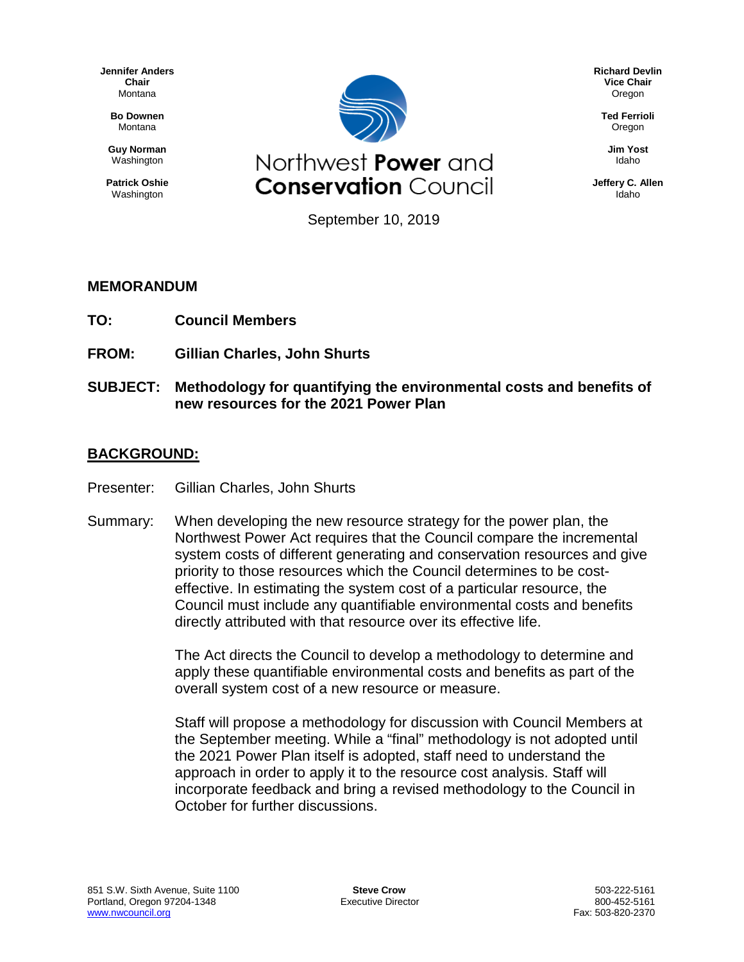**Jennifer Anders Chair** Montana

> **Bo Downen** Montana

**Guy Norman** Washington

**Patrick Oshie** Washington



**Richard Devlin Vice Chair** Oregon

> **Ted Ferrioli** Oregon

> > **Jim Yost** Idaho

**Jeffery C. Allen** Idaho

September 10, 2019

#### **MEMORANDUM**

- **TO: Council Members**
- **FROM: Gillian Charles, John Shurts**
- **SUBJECT: Methodology for quantifying the environmental costs and benefits of new resources for the 2021 Power Plan**

#### **BACKGROUND:**

- Presenter: Gillian Charles, John Shurts
- Summary: When developing the new resource strategy for the power plan, the Northwest Power Act requires that the Council compare the incremental system costs of different generating and conservation resources and give priority to those resources which the Council determines to be costeffective. In estimating the system cost of a particular resource, the Council must include any quantifiable environmental costs and benefits directly attributed with that resource over its effective life.

The Act directs the Council to develop a methodology to determine and apply these quantifiable environmental costs and benefits as part of the overall system cost of a new resource or measure.

Staff will propose a methodology for discussion with Council Members at the September meeting. While a "final" methodology is not adopted until the 2021 Power Plan itself is adopted, staff need to understand the approach in order to apply it to the resource cost analysis. Staff will incorporate feedback and bring a revised methodology to the Council in October for further discussions.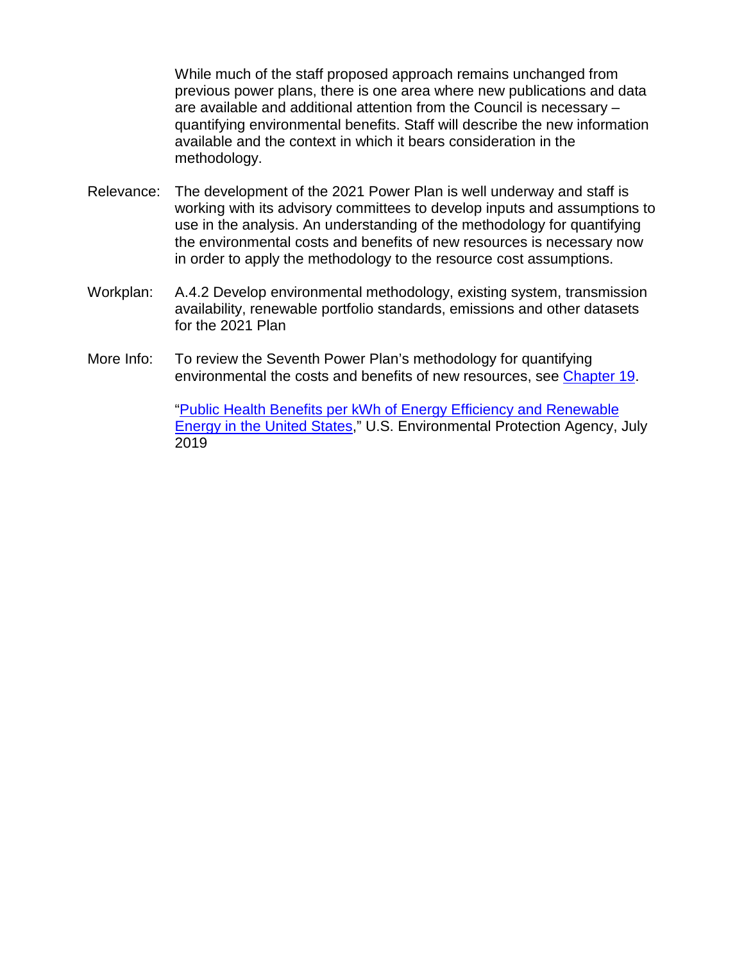While much of the staff proposed approach remains unchanged from previous power plans, there is one area where new publications and data are available and additional attention from the Council is necessary – quantifying environmental benefits. Staff will describe the new information available and the context in which it bears consideration in the methodology.

- Relevance: The development of the 2021 Power Plan is well underway and staff is working with its advisory committees to develop inputs and assumptions to use in the analysis. An understanding of the methodology for quantifying the environmental costs and benefits of new resources is necessary now in order to apply the methodology to the resource cost assumptions.
- Workplan: A.4.2 Develop environmental methodology, existing system, transmission availability, renewable portfolio standards, emissions and other datasets for the 2021 Plan
- More Info: To review the Seventh Power Plan's methodology for quantifying environmental the costs and benefits of new resources, see [Chapter 19.](https://www.nwcouncil.org/sites/default/files/7thplanfinal_chap19_envmethod_1.pdf)

["Public Health Benefits per kWh of Energy Efficiency and Renewable](https://www.epa.gov/sites/production/files/2019-07/documents/bpk-report-final-508.pdf)  [Energy in the United States,](https://www.epa.gov/sites/production/files/2019-07/documents/bpk-report-final-508.pdf)" U.S. Environmental Protection Agency, July 2019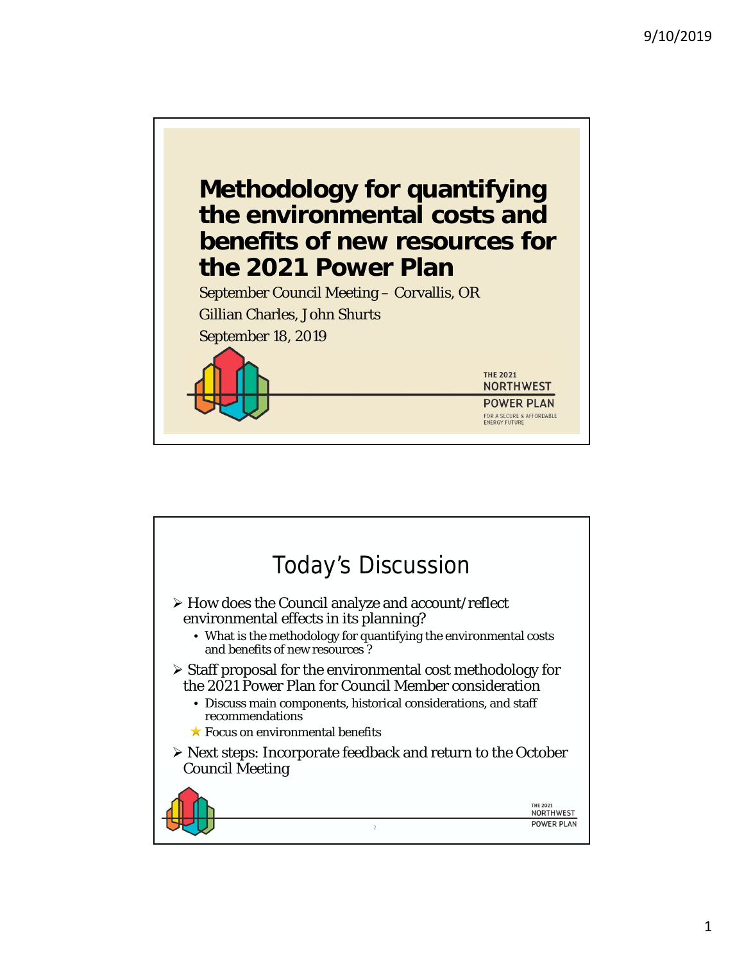

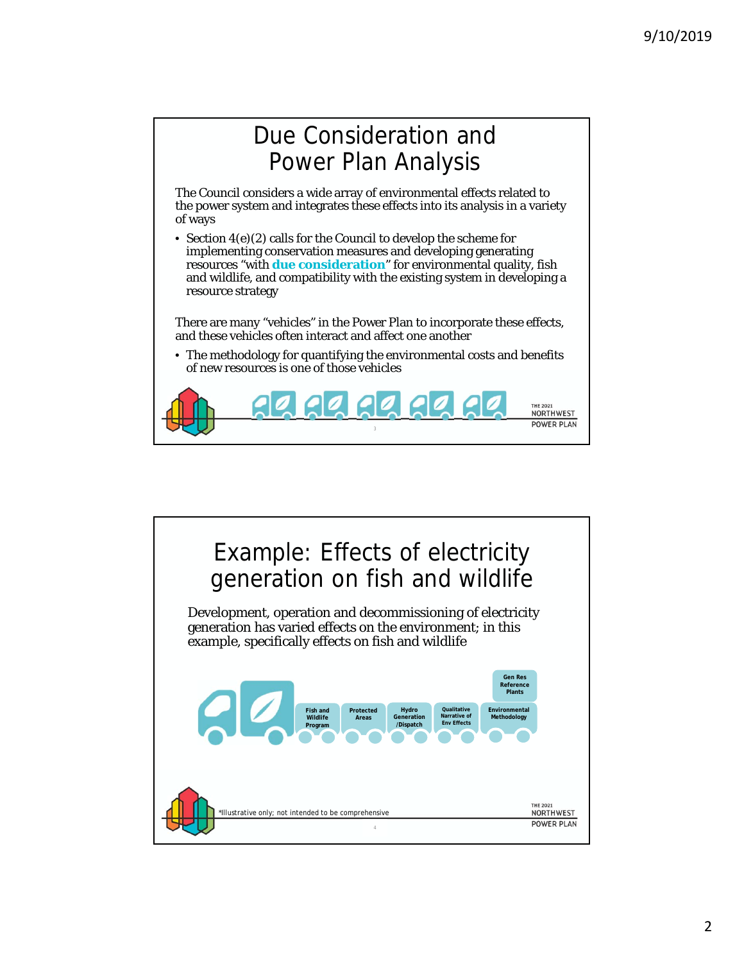## Due Consideration and Power Plan Analysis

The Council considers a wide array of environmental effects related to the power system and integrates these effects into its analysis in a variety of ways

• Section 4(e)(2) calls for the Council to develop the scheme for implementing conservation measures and developing generating resources "with **due consideration**" for environmental quality, fish and wildlife, and compatibility with the existing system in developing a resource strategy

There are many "vehicles" in the Power Plan to incorporate these effects, and these vehicles often interact and affect one another

• The methodology for quantifying the environmental costs and benefits of new resources is one of those vehicles



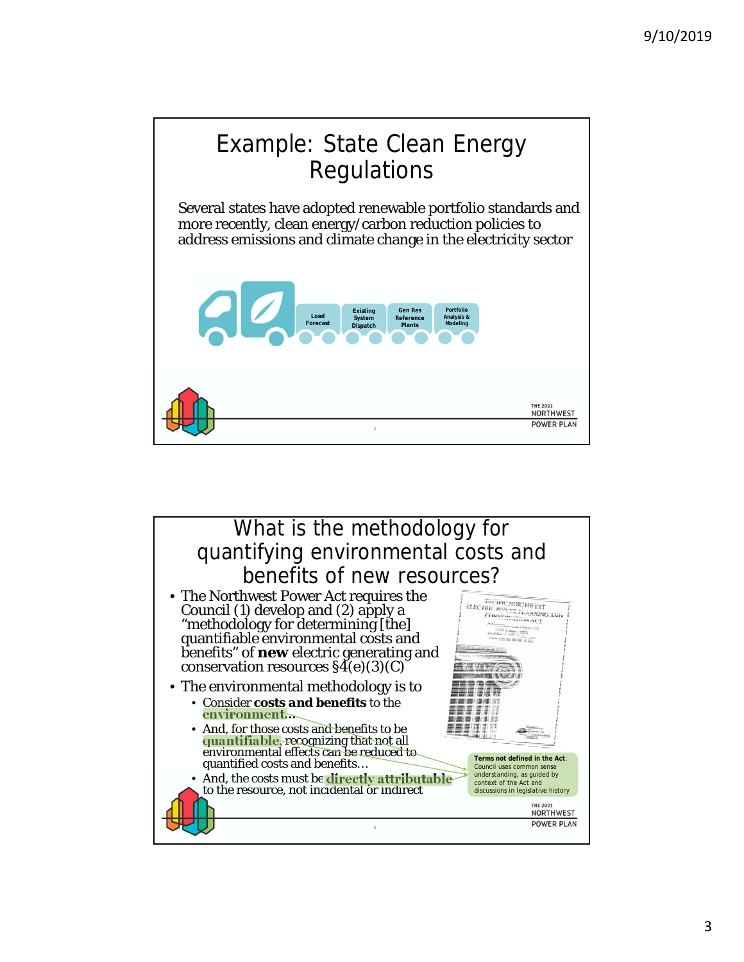# Example: State Clean Energy Regulations

Several states have adopted renewable portfolio standards and more recently, clean energy/carbon reduction policies to address emissions and climate change in the electricity sector



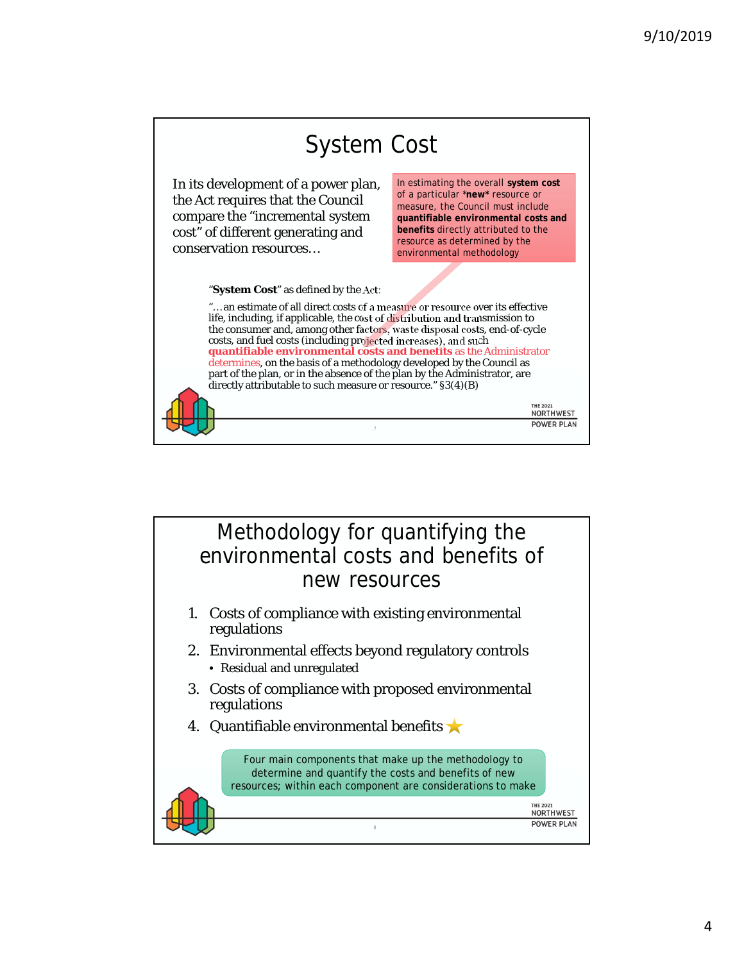

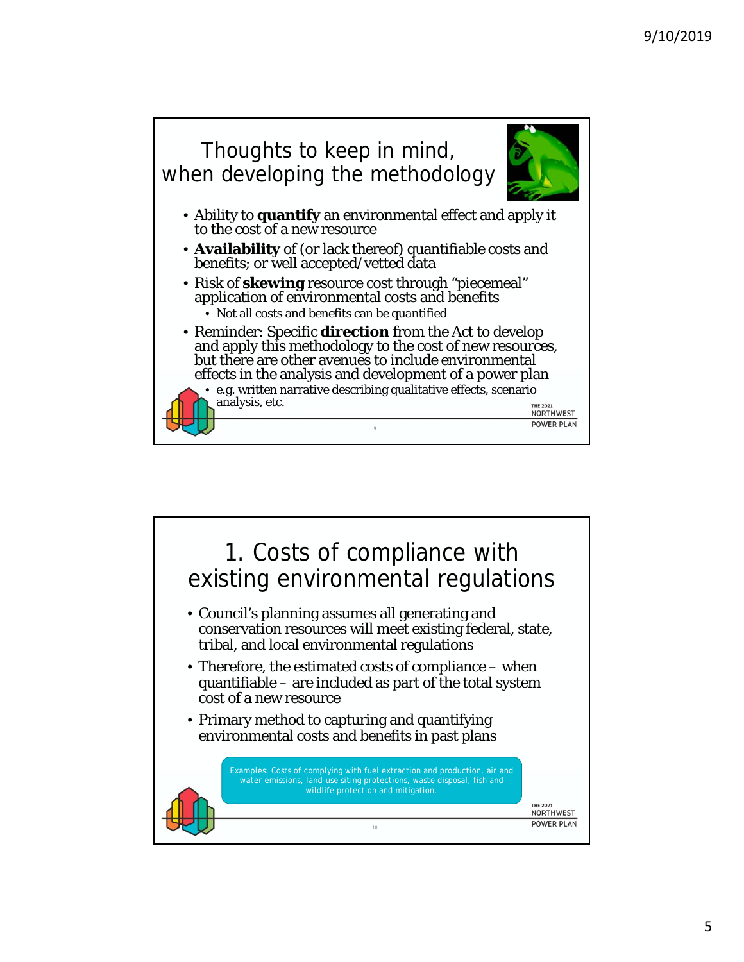

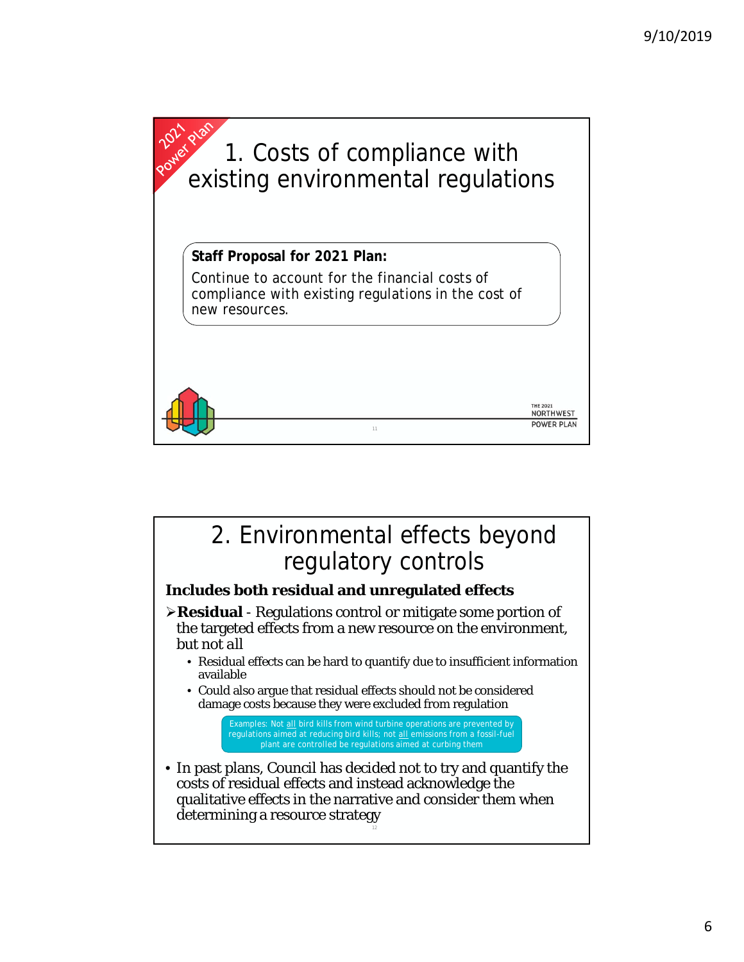

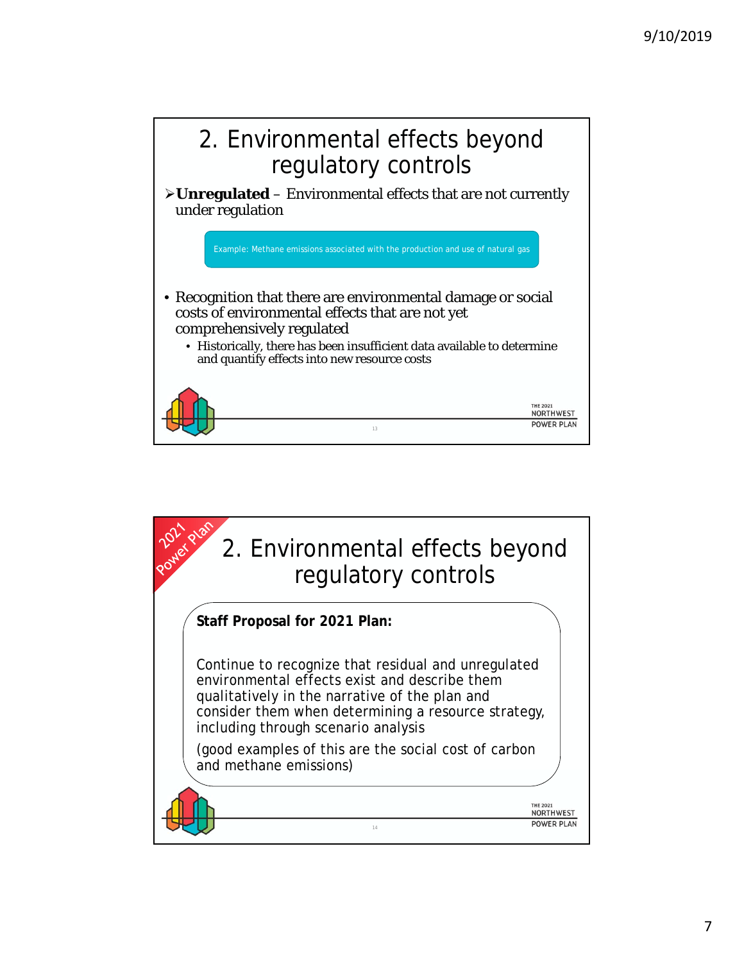

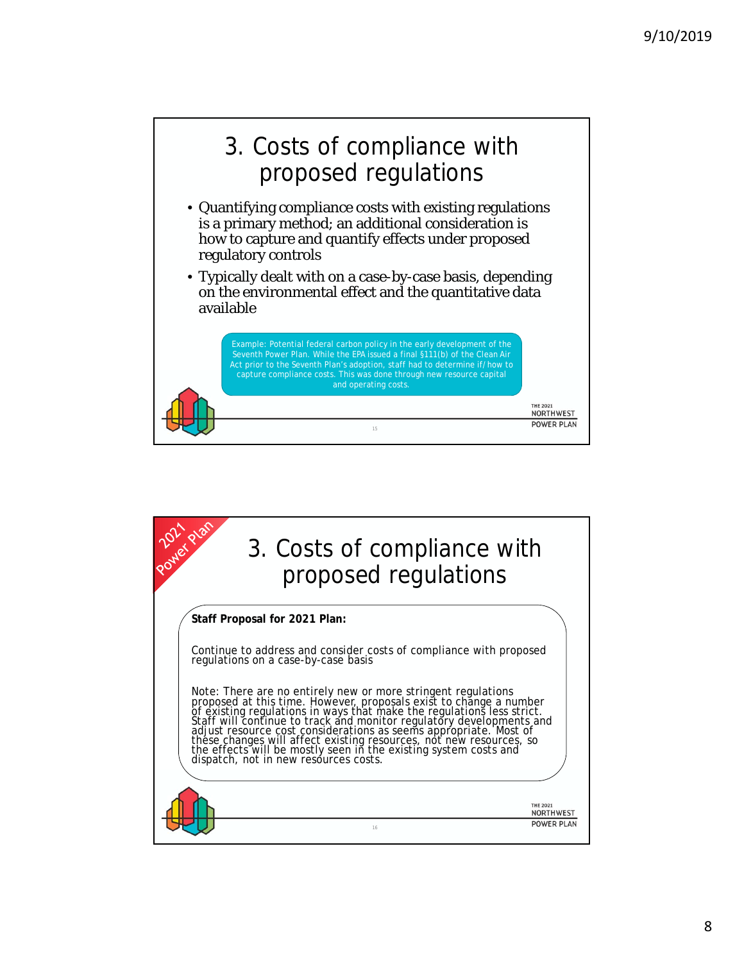

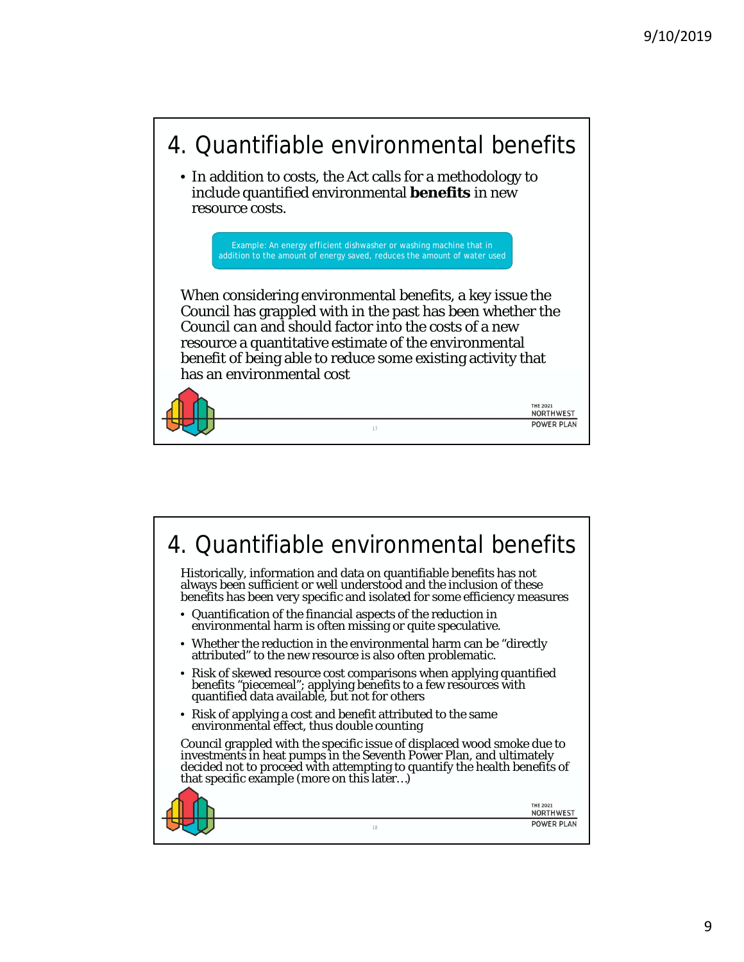

![](_page_10_Picture_2.jpeg)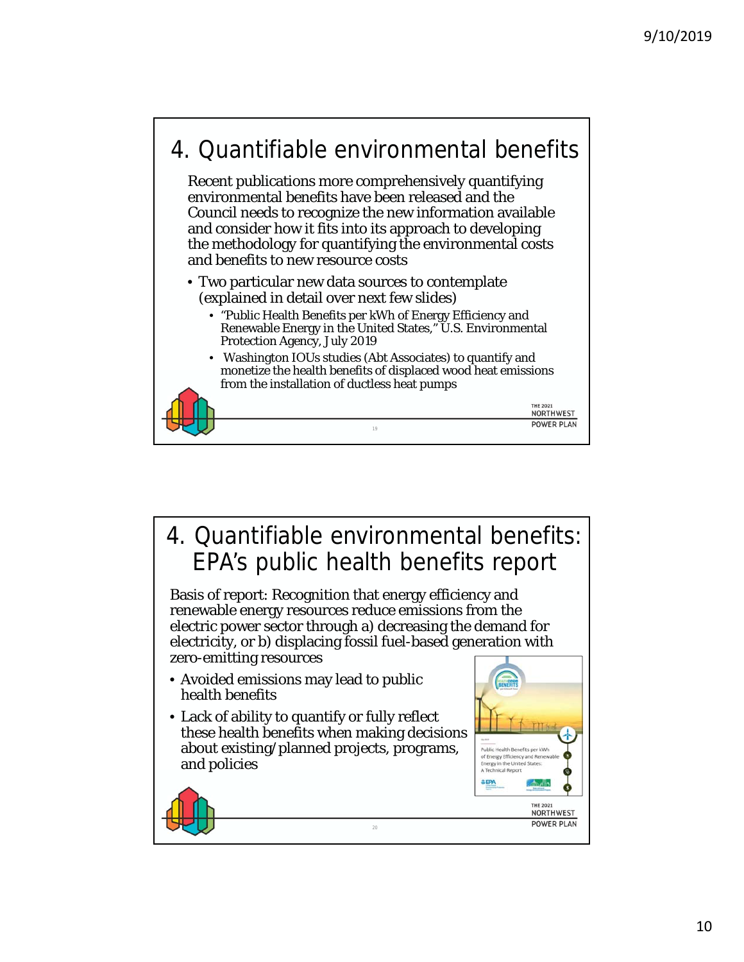![](_page_11_Figure_1.jpeg)

![](_page_11_Picture_2.jpeg)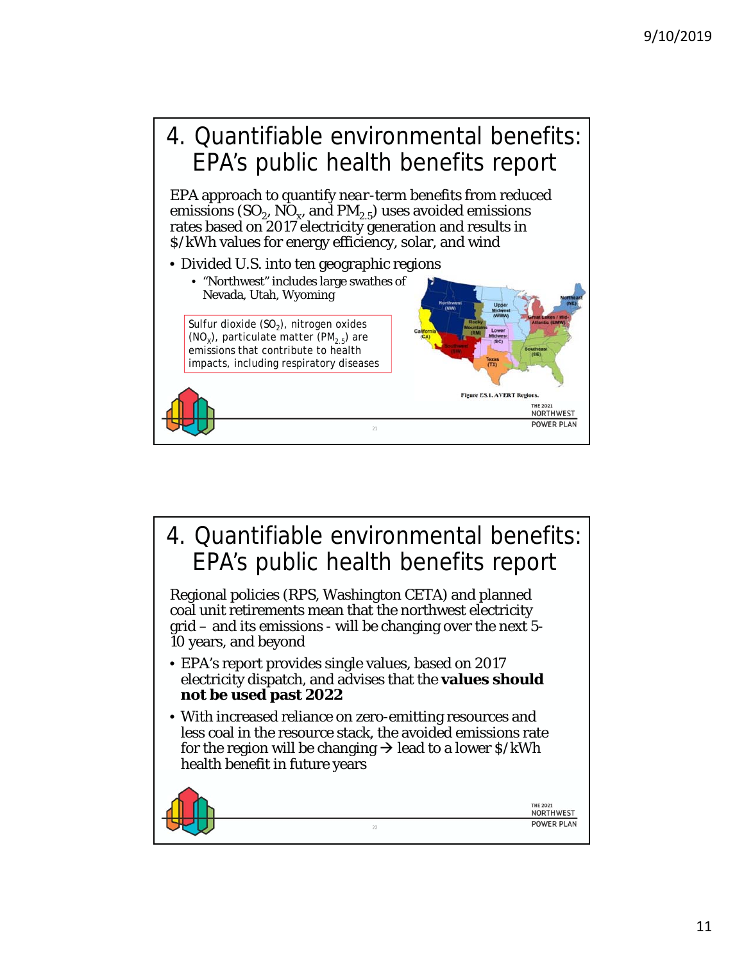![](_page_12_Figure_1.jpeg)

![](_page_12_Picture_2.jpeg)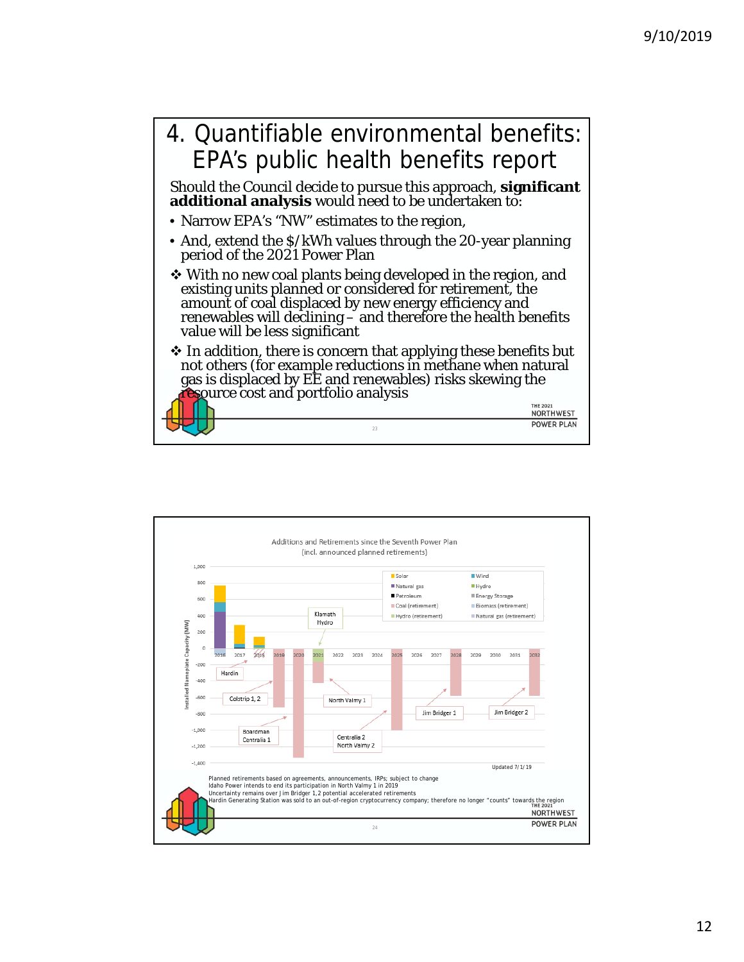![](_page_13_Figure_1.jpeg)

![](_page_13_Figure_2.jpeg)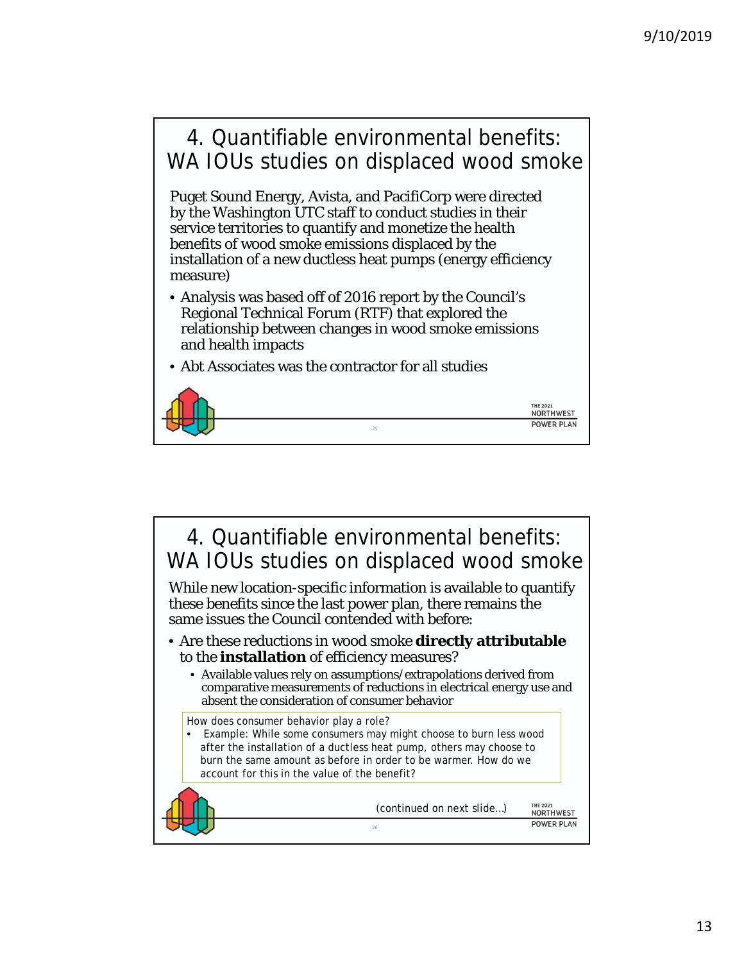### 4. Quantifiable environmental benefits: WA IOUs studies on displaced wood smoke

Puget Sound Energy, Avista, and PacifiCorp were directed by the Washington UTC staff to conduct studies in their service territories to quantify and monetize the health benefits of wood smoke emissions displaced by the installation of a new ductless heat pumps (energy efficiency measure)

- Analysis was based off of 2016 report by the Council's Regional Technical Forum (RTF) that explored the relationship between changes in wood smoke emissions and health impacts
- Abt Associates was the contractor for all studies

![](_page_14_Picture_5.jpeg)

![](_page_14_Picture_6.jpeg)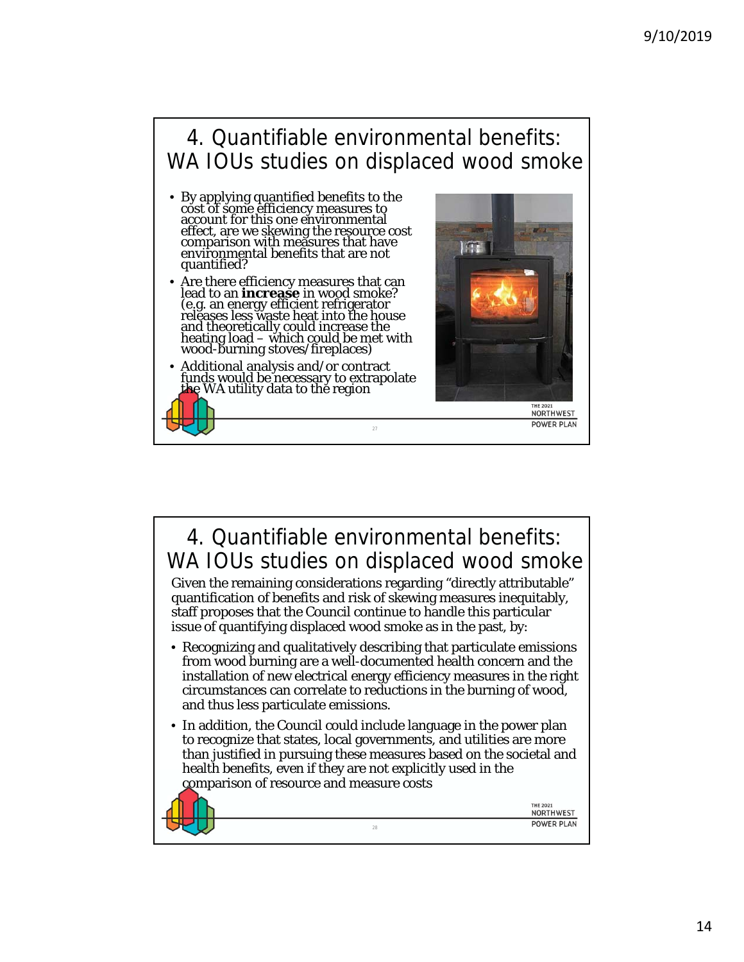### 4. Quantifiable environmental benefits: WA IOUs studies on displaced wood smoke

- By applying quantified benefits to the cost of *some* efficiency measures to account for this one environmental account for this one environmental<br>effect, are we skewing the resource cost comparison with measures that have environmental benefits that are not quantified?
- Are there efficiency measures that can lead to an **increase** in wood smoke? (e.g. an energy efficient refrigerator releases less waste heat into the house and theoretically could increase the heating load – which could be met with wood-burning stoves/fireplaces)
- Additional analysis and/or contract funds would be necessary to extrapolate the WA utility data to the region

![](_page_15_Picture_5.jpeg)

![](_page_15_Picture_6.jpeg)

28

<sub>27</sub>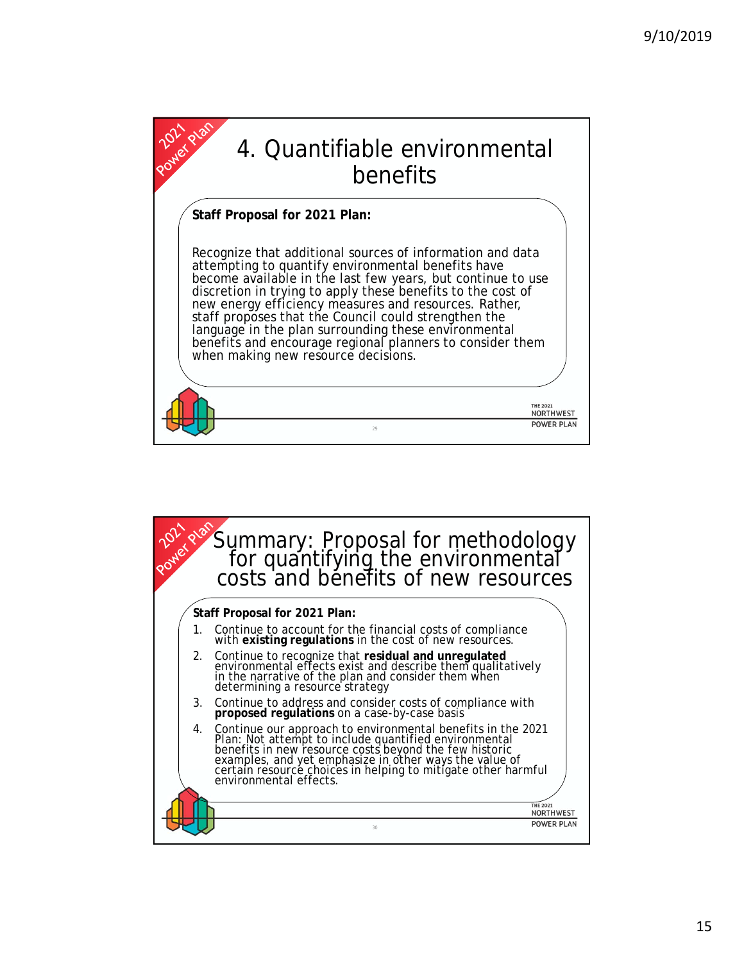![](_page_16_Picture_1.jpeg)

![](_page_16_Picture_2.jpeg)